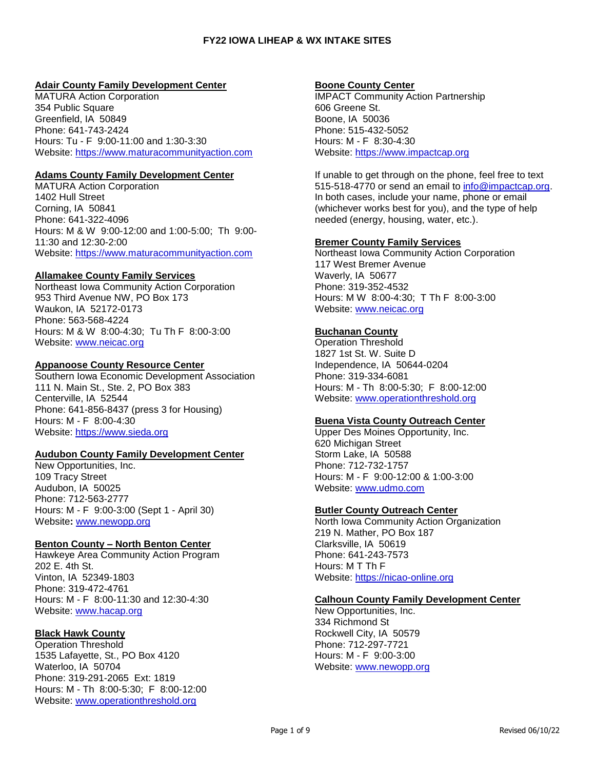# **Adair County Family Development Center**

MATURA Action Corporation 354 Public Square Greenfield, IA 50849 Phone: 641-743-2424 Hours: Tu - F 9:00-11:00 and 1:30-3:30 Website: [https://www.maturacommunityaction.com](https://www.maturacommunityaction.com/)

# **Adams County Family Development Center**

MATURA Action Corporation 1402 Hull Street Corning, IA 50841 Phone: 641-322-4096 Hours: M & W 9:00-12:00 and 1:00-5:00; Th 9:00- 11:30 and 12:30-2:00 Website: [https://www.maturacommunityaction.com](https://www.maturacommunityaction.com/)

# **Allamakee County Family Services**

Northeast Iowa Community Action Corporation 953 Third Avenue NW, PO Box 173 Waukon, IA 52172-0173 Phone: 563-568-4224 Hours: M & W 8:00-4:30; Tu Th F 8:00-3:00 Website: [www.neicac.org](http://www.neicac.org/)

# **Appanoose County Resource Center**

Southern Iowa Economic Development Association 111 N. Main St., Ste. 2, PO Box 383 Centerville, IA 52544 Phone: 641-856-8437 (press 3 for Housing) Hours: M - F 8:00-4:30 Website: [https://www.sieda.org](https://www.sieda.org/)

### **Audubon County Family Development Center**

New Opportunities, Inc. 109 Tracy Street Audubon, IA 50025 Phone: 712-563-2777 Hours: M - F 9:00-3:00 (Sept 1 - April 30) Website**:** [www.newopp.org](http://www.newopp.org/)

# **Benton County – North Benton Center**

Hawkeye Area Community Action Program 202 E. 4th St. Vinton, IA 52349-1803 Phone: 319-472-4761 Hours: M - F 8:00-11:30 and 12:30-4:30 Website: [www.hacap.org](http://www.hacap.org/)

# **Black Hawk County**

Operation Threshold 1535 Lafayette, St., PO Box 4120 Waterloo, IA 50704 Phone: 319-291-2065 Ext: 1819 Hours: M - Th 8:00-5:30; F 8:00-12:00 Website: [www.operationthreshold.org](http://www.operationthreshold.org/)

# **Boone County Center**

IMPACT Community Action Partnership 606 Greene St. Boone, IA 50036 Phone: 515-432-5052 Hours: M - F 8:30-4:30 Website: [https://www.impactcap.org](https://www.impactcap.org/)

If unable to get through on the phone, feel free to text 515-518-4770 or send an email to [info@impactcap.org.](mailto:info@impactcap.org) In both cases, include your name, phone or email (whichever works best for you), and the type of help needed (energy, housing, water, etc.).

# **Bremer County Family Services**

Northeast Iowa Community Action Corporation 117 West Bremer Avenue Waverly, IA 50677 Phone: 319-352-4532 Hours: M W 8:00-4:30; T Th F 8:00-3:00 Website: [www.neicac.org](http://www.neicac.org/)

# **Buchanan County**

Operation Threshold 1827 1st St. W. Suite D Independence, IA 50644-0204 Phone: 319-334-6081 Hours: M - Th 8:00-5:30; F 8:00-12:00 Website: [www.operationthreshold.org](http://www.operationthreshold.org/)

# **Buena Vista County Outreach Center**

Upper Des Moines Opportunity, Inc. 620 Michigan Street Storm Lake, IA 50588 Phone: 712-732-1757 Hours: M - F 9:00-12:00 & 1:00-3:00 Website: [www.udmo.com](http://www.udmo.com/) 

### **Butler County Outreach Center**

North Iowa Community Action Organization 219 N. Mather, PO Box 187 Clarksville, IA 50619 Phone: 641-243-7573 Hours: M T Th F Website: [https://nicao-online.org](https://nicao-online.org/)

# **Calhoun County Family Development Center**

New Opportunities, Inc. 334 Richmond St Rockwell City, IA 50579 Phone: 712-297-7721 Hours: M - F 9:00-3:00 Website: [www.newopp.org](http://www.newopp.org/)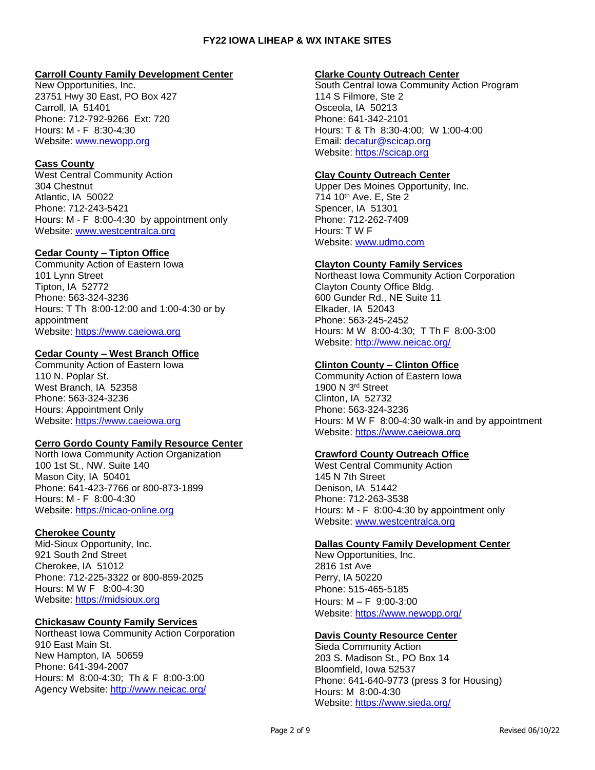### **Carroll County Family Development Center**

New Opportunities, Inc. 23751 Hwy 30 East, PO Box 427 Carroll, IA 51401 Phone: 712-792-9266 Ext: 720 Hours: M - F 8:30-4:30 Website: [www.newopp.org](http://www.newopp.org/)

# **Cass County**

West Central Community Action 304 Chestnut Atlantic, IA 50022 Phone: 712-243-5421 Hours: M - F 8:00-4:30 by appointment only Website: [www.westcentralca.org](http://www.westcentralca.org/)

### **Cedar County – Tipton Office**

Community Action of Eastern Iowa 101 Lynn Street Tipton, IA 52772 Phone: 563-324-3236 Hours: T Th 8:00-12:00 and 1:00-4:30 or by appointment Website: [https://www.caeiowa.org](https://www.caeiowa.org/)

# **Cedar County – West Branch Office**

Community Action of Eastern Iowa 110 N. Poplar St. West Branch, IA 52358 Phone: 563-324-3236 Hours: Appointment Only Website: [https://www.caeiowa.org](https://www.caeiowa.org/)

### **Cerro Gordo County Family Resource Center**

North Iowa Community Action Organization 100 1st St., NW. Suite 140 Mason City, IA 50401 Phone: 641-423-7766 or 800-873-1899 Hours: M - F 8:00-4:30 Website: [https://nicao-online.org](https://nicao-online.org/)

### **Cherokee County**

Mid-Sioux Opportunity, Inc. 921 South 2nd Street Cherokee, IA 51012 Phone: 712-225-3322 or 800-859-2025 Hours: M W F 8:00-4:30 Website: [https://midsioux.org](https://midsioux.org/) 

### **Chickasaw County Family Services**

Northeast Iowa Community Action Corporation 910 East Main St. New Hampton, IA 50659 Phone: 641-394-2007 Hours: M 8:00-4:30; Th & F 8:00-3:00 Agency Website:<http://www.neicac.org/>

#### **Clarke County Outreach Center**

South Central Iowa Community Action Program 114 S Filmore, Ste 2 Osceola, IA 50213 Phone: 641-342-2101 Hours: T & Th 8:30-4:00; W 1:00-4:00 Email: [decatur@scicap.org](mailto:decatur@scicap.org) Website: [https://scicap.org](https://scicap.org/)

#### **Clay County Outreach Center**

Upper Des Moines Opportunity, Inc. 714 10th Ave. E, Ste 2 Spencer, IA 51301 Phone: 712-262-7409 Hours: T W F Website: [www.udmo.com](http://www.udmo.com/)

#### **Clayton County Family Services**

Northeast Iowa Community Action Corporation Clayton County Office Bldg. 600 Gunder Rd., NE Suite 11 Elkader, IA 52043 Phone: 563-245-2452 Hours: M W 8:00-4:30; T Th F 8:00-3:00 Website:<http://www.neicac.org/>

### **Clinton County – Clinton Office**

Community Action of Eastern Iowa 1900 N 3rd Street Clinton, IA 52732 Phone: 563-324-3236 Hours: M W F 8:00-4:30 walk-in and by appointment Website: [https://www.caeiowa.org](https://www.caeiowa.org/)

### **Crawford County Outreach Office**

West Central Community Action 145 N 7th Street Denison, IA 51442 Phone: 712-263-3538 Hours: M - F 8:00-4:30 by appointment only Website: [www.westcentralca.org](http://www.westcentralca.org/)

### **Dallas County Family Development Center**

New Opportunities, Inc. 2816 1st Ave Perry, IA 50220 Phone: 515-465-5185 Hours: M – F 9:00-3:00 Website:<https://www.newopp.org/>

### **Davis County Resource Center**

Sieda Community Action 203 S. Madison St., PO Box 14 Bloomfield, Iowa 52537 Phone: 641-640-9773 (press 3 for Housing) Hours: M 8:00-4:30 Website:<https://www.sieda.org/>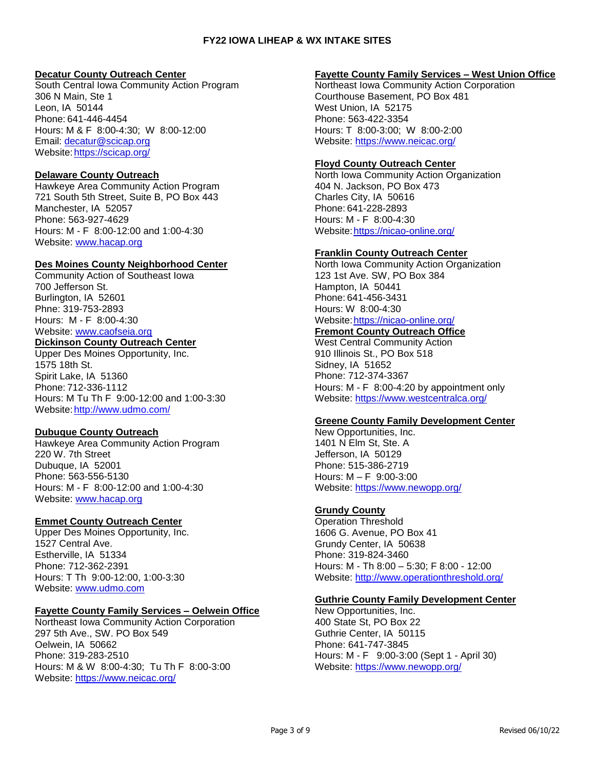### **Decatur County Outreach Center**

South Central Iowa Community Action Program 306 N Main, Ste 1 Leon, IA 50144 Phone: 641-446-4454 Hours: M & F 8:00-4:30; W 8:00-12:00 Email: [decatur@scicap.org](mailto:decatur@scicap.org) Website[:https://scicap.org/](https://scicap.org/)

# **Delaware County Outreach**

Hawkeye Area Community Action Program 721 South 5th Street, Suite B, PO Box 443 Manchester, IA 52057 Phone: 563-927-4629 Hours: M - F 8:00-12:00 and 1:00-4:30 Website: [www.hacap.org](http://www.hacap.org/)

# **Des Moines County Neighborhood Center**

Community Action of Southeast Iowa 700 Jefferson St. Burlington, IA 52601 Phne: 319-753-2893 Hours: M - F 8:00-4:30 Website: [www.caofseia.org](http://www.caofseia.org/) **Dickinson County Outreach Center**

### Upper Des Moines Opportunity, Inc. 1575 18th St. Spirit Lake, IA 51360

Phone: 712-336-1112 Hours: M Tu Th F 9:00-12:00 and 1:00-3:30 Website[:http://www.udmo.com/](http://www.udmo.com/)

# **Dubuque County Outreach**

Hawkeye Area Community Action Program 220 W. 7th Street Dubuque, IA 52001 Phone: 563-556-5130 Hours: M - F 8:00-12:00 and 1:00-4:30 Website: [www.hacap.org](http://www.hacap.org/)

# **Emmet County Outreach Center**

Upper Des Moines Opportunity, Inc. 1527 Central Ave. Estherville, IA 51334 Phone: 712-362-2391 Hours: T Th 9:00-12:00, 1:00-3:30 Website: [www.udmo.com](http://www.udmo.com/)

# **Fayette County Family Services – Oelwein Office**

Northeast Iowa Community Action Corporation 297 5th Ave., SW. PO Box 549 Oelwein, IA 50662 Phone: 319-283-2510 Hours: M & W 8:00-4:30; Tu Th F 8:00-3:00 Website:<https://www.neicac.org/>

### **Fayette County Family Services – West Union Office**

Northeast Iowa Community Action Corporation Courthouse Basement, PO Box 481 West Union, IA 52175 Phone: 563-422-3354 Hours: T 8:00-3:00; W 8:00-2:00 Website:<https://www.neicac.org/>

# **Floyd County Outreach Center**

North Iowa Community Action Organization 404 N. Jackson, PO Box 473 Charles City, IA 50616 Phone: 641-228-2893 Hours: M - F 8:00-4:30 Website[:https://nicao-online.org/](https://nicao-online.org/)

# **Franklin County Outreach Center**

North Iowa Community Action Organization 123 1st Ave. SW, PO Box 384 Hampton, IA 50441 Phone: 641-456-3431 Hours: W 8:00-4:30 Website[:https://nicao-online.org/](https://nicao-online.org/) **Fremont County Outreach Office**

# West Central Community Action

910 Illinois St., PO Box 518 Sidney, IA 51652 Phone: 712-374-3367 Hours: M - F 8:00-4:20 by appointment only Website:<https://www.westcentralca.org/>

### **Greene County Family Development Center**

New Opportunities, Inc. 1401 N Elm St, Ste. A Jefferson, IA 50129 Phone: 515-386-2719 Hours: M – F 9:00-3:00 Website:<https://www.newopp.org/>

# **Grundy County**

Operation Threshold 1606 G. Avenue, PO Box 41 Grundy Center, IA 50638 Phone: 319-824-3460 Hours: M - Th 8:00 – 5:30; F 8:00 - 12:00 Website:<http://www.operationthreshold.org/>

### **Guthrie County Family Development Center**

New Opportunities, Inc. 400 State St, PO Box 22 Guthrie Center, IA 50115 Phone: 641-747-3845 Hours: M - F 9:00-3:00 (Sept 1 - April 30) Website: <https://www.newopp.org/>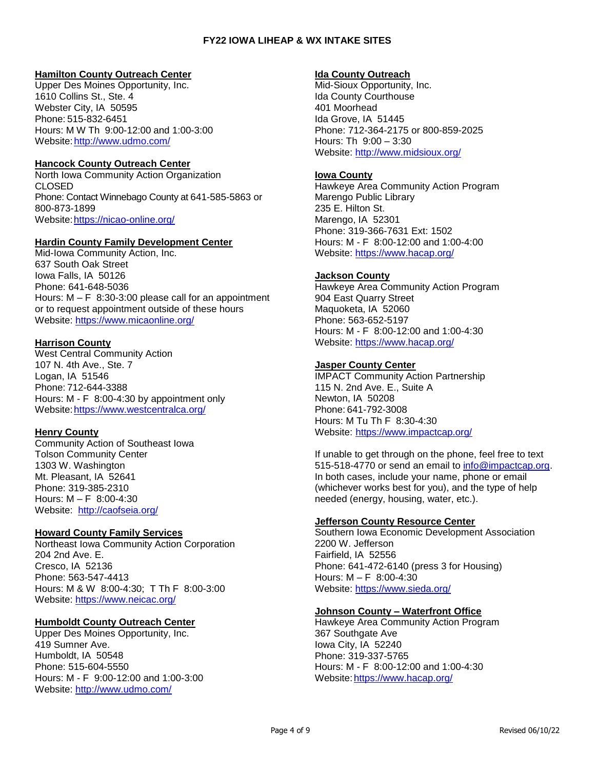# **Hamilton County Outreach Center**

Upper Des Moines Opportunity, Inc. 1610 Collins St., Ste. 4 Webster City, IA 50595 Phone: 515-832-6451 Hours: M W Th 9:00-12:00 and 1:00-3:00 Website[:http://www.udmo.com/](http://www.udmo.com/)

# **Hancock County Outreach Center**

North Iowa Community Action Organization CLOSED Phone: Contact Winnebago County at 641-585-5863 or 800-873-1899 Website[:https://nicao-online.org/](https://nicao-online.org/)

# **Hardin County Family Development Center**

Mid-Iowa Community Action, Inc. 637 South Oak Street Iowa Falls, IA 50126 Phone: 641-648-5036 Hours:  $M - F$  8:30-3:00 please call for an appointment or to request appointment outside of these hours Website:<https://www.micaonline.org/>

# **Harrison County**

West Central Community Action 107 N. 4th Ave., Ste. 7 Logan, IA 51546 Phone: 712-644-3388 Hours: M - F 8:00-4:30 by appointment only Website[:https://www.westcentralca.org/](https://www.westcentralca.org/)

# **Henry County**

Community Action of Southeast Iowa Tolson Community Center 1303 W. Washington Mt. Pleasant, IA 52641 Phone: 319-385-2310 Hours: M – F 8:00-4:30 Website: <http://caofseia.org/>

### **Howard County Family Services**

Northeast Iowa Community Action Corporation 204 2nd Ave. E. Cresco, IA 52136 Phone: 563-547-4413 Hours: M & W 8:00-4:30; T Th F 8:00-3:00 Website:<https://www.neicac.org/>

# **Humboldt County Outreach Center**

Upper Des Moines Opportunity, Inc. 419 Sumner Ave. Humboldt, IA 50548 Phone: 515-604-5550 Hours: M - F 9:00-12:00 and 1:00-3:00 Website:<http://www.udmo.com/>

#### **Ida County Outreach**

Mid-Sioux Opportunity, Inc. Ida County Courthouse 401 Moorhead Ida Grove, IA 51445 Phone: 712-364-2175 or 800-859-2025 Hours: Th 9:00 – 3:30 Website:<http://www.midsioux.org/>

# **Iowa County**

Hawkeye Area Community Action Program Marengo Public Library 235 E. Hilton St. Marengo, IA 52301 Phone: 319-366-7631 Ext: 1502 Hours: M - F 8:00-12:00 and 1:00-4:00 Website:<https://www.hacap.org/>

# **Jackson County**

Hawkeye Area Community Action Program 904 East Quarry Street Maquoketa, IA 52060 Phone: 563-652-5197 Hours: M - F 8:00-12:00 and 1:00-4:30 Website:<https://www.hacap.org/>

# **Jasper County Center**

IMPACT Community Action Partnership 115 N. 2nd Ave. E., Suite A Newton, IA 50208 Phone: 641-792-3008 Hours: M Tu Th F 8:30-4:30 Website:<https://www.impactcap.org/>

If unable to get through on the phone, feel free to text 515-518-4770 or send an email to [info@impactcap.org.](mailto:info@impactcap.org) In both cases, include your name, phone or email (whichever works best for you), and the type of help needed (energy, housing, water, etc.).

# **Jefferson County Resource Center**

Southern Iowa Economic Development Association 2200 W. Jefferson Fairfield, IA 52556 Phone: 641-472-6140 (press 3 for Housing) Hours: M – F 8:00-4:30 Website:<https://www.sieda.org/>

# **Johnson County – Waterfront Office**

Hawkeye Area Community Action Program 367 Southgate Ave Iowa City, IA 52240 Phone: 319-337-5765 Hours: M - F 8:00-12:00 and 1:00-4:30 Website[:https://www.hacap.org/](https://www.hacap.org/)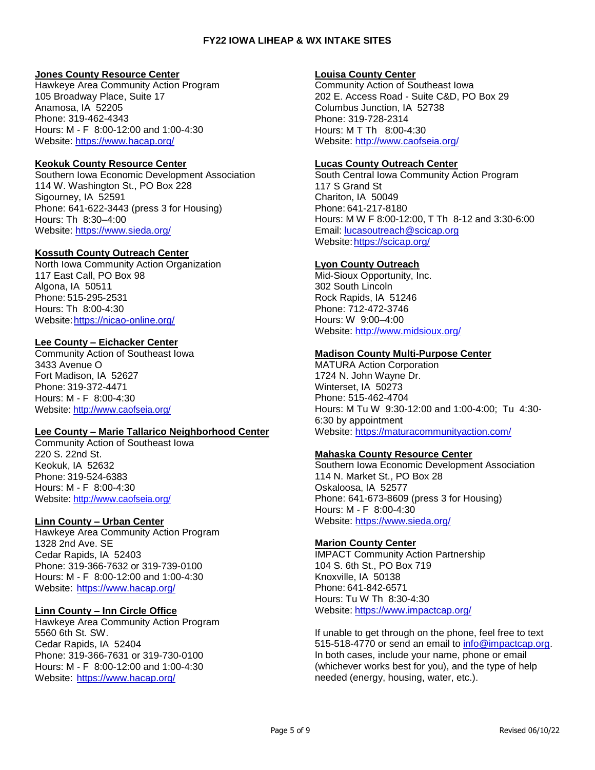### **Jones County Resource Center**

Hawkeye Area Community Action Program 105 Broadway Place, Suite 17 Anamosa, IA 52205 Phone: 319-462-4343 Hours: M - F 8:00-12:00 and 1:00-4:30 Website:<https://www.hacap.org/>

# **Keokuk County Resource Center**

Southern Iowa Economic Development Association 114 W. Washington St., PO Box 228 Sigourney, IA 52591 Phone: 641-622-3443 (press 3 for Housing) Hours: Th 8:30–4:00 Website:<https://www.sieda.org/>

# **Kossuth County Outreach Center**

North Iowa Community Action Organization 117 East Call, PO Box 98 Algona, IA 50511 Phone: 515-295-2531 Hours: Th 8:00-4:30 Website[:https://nicao-online.org/](https://nicao-online.org/)

# **Lee County – Eichacker Center**

Community Action of Southeast Iowa 3433 Avenue O Fort Madison, IA 52627 Phone: 319-372-4471 Hours: M - F 8:00-4:30 Website:<http://www.caofseia.org/>

### **Lee County – Marie Tallarico Neighborhood Center**

Community Action of Southeast Iowa 220 S. 22nd St. Keokuk, IA 52632 Phone: 319-524-6383 Hours: M - F 8:00-4:30 Website: [http://www.caofseia.org/](http://www.caofseia.org/index.php)

### **Linn County – Urban Center**

Hawkeye Area Community Action Program 1328 2nd Ave. SE Cedar Rapids, IA 52403 Phone: 319-366-7632 or 319-739-0100 Hours: M - F 8:00-12:00 and 1:00-4:30 Website:<https://www.hacap.org/>

### **Linn County – Inn Circle Office**

Hawkeye Area Community Action Program 5560 6th St. SW. Cedar Rapids, IA 52404 Phone: 319-366-7631 or 319-730-0100 Hours: M - F 8:00-12:00 and 1:00-4:30 Website:<https://www.hacap.org/>

### **Louisa County Center**

Community Action of Southeast Iowa 202 E. Access Road - Suite C&D, PO Box 29 Columbus Junction, IA 52738 Phone: 319-728-2314 Hours: M T Th 8:00-4:30 Website:<http://www.caofseia.org/>

# **Lucas County Outreach Center**

South Central Iowa Community Action Program 117 S Grand St Chariton, IA 50049 Phone: 641-217-8180 Hours: M W F 8:00-12:00, T Th 8-12 and 3:30-6:00 Email: [lucasoutreach@scicap.org](mailto:lucasoutreach@scicap.org) Website: https://scicap.org/

# **Lyon County Outreach**

Mid-Sioux Opportunity, Inc. 302 South Lincoln Rock Rapids, IA 51246 Phone: 712-472-3746 Hours: W 9:00–4:00 Website:<http://www.midsioux.org/>

### **Madison County Multi-Purpose Center**

MATURA Action Corporation 1724 N. John Wayne Dr. Winterset, IA 50273 Phone: 515-462-4704 Hours: M Tu W 9:30-12:00 and 1:00-4:00; Tu 4:30- 6:30 by appointment Website:<https://maturacommunityaction.com/>

### **Mahaska County Resource Center**

Southern Iowa Economic Development Association 114 N. Market St., PO Box 28 Oskaloosa, IA 52577 Phone: 641-673-8609 (press 3 for Housing) Hours: M - F 8:00-4:30 Website:<https://www.sieda.org/>

# **Marion County Center**

IMPACT Community Action Partnership 104 S. 6th St., PO Box 719 Knoxville, IA 50138 Phone: 641-842-6571 Hours: Tu W Th 8:30-4:30 Website:<https://www.impactcap.org/>

If unable to get through on the phone, feel free to text 515-518-4770 or send an email to [info@impactcap.org.](mailto:info@impactcap.org) In both cases, include your name, phone or email (whichever works best for you), and the type of help needed (energy, housing, water, etc.).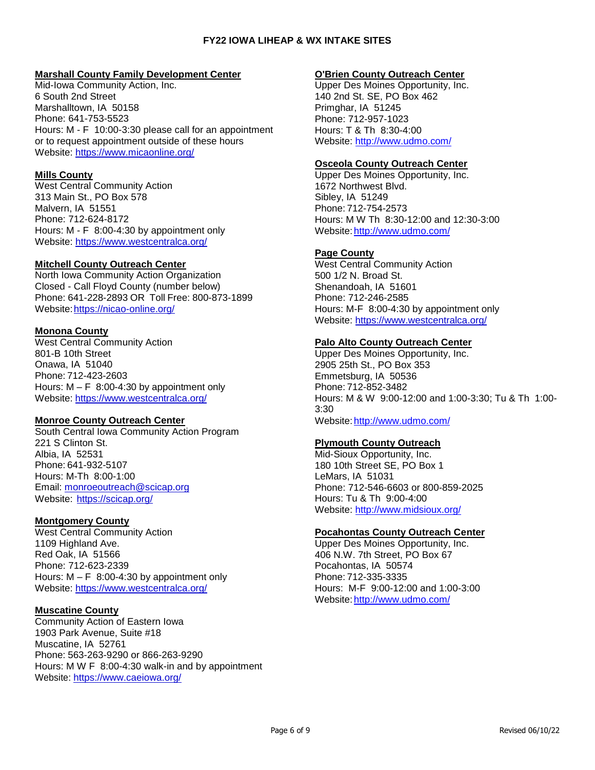### **Marshall County Family Development Center**

Mid-Iowa Community Action, Inc. 6 South 2nd Street Marshalltown, IA 50158 Phone: 641-753-5523 Hours: M - F 10:00-3:30 please call for an appointment or to request appointment outside of these hours Website:<https://www.micaonline.org/>

# **Mills County**

West Central Community Action 313 Main St., PO Box 578 Malvern, IA 51551 Phone: 712-624-8172 Hours: M - F 8:00-4:30 by appointment only Website:<https://www.westcentralca.org/>

### **Mitchell County Outreach Center**

North Iowa Community Action Organization Closed - Call Floyd County (number below) Phone: 641-228-2893 OR Toll Free: 800-873-1899 Website: https://nicao-online.org/

# **Monona County**

West Central Community Action 801-B 10th Street Onawa, IA 51040 Phone: 712-423-2603 Hours:  $M - F$  8:00-4:30 by appointment only Website:<https://www.westcentralca.org/>

### **Monroe County Outreach Center**

South Central Iowa Community Action Program 221 S Clinton St. Albia, IA 52531 Phone: 641-932-5107 Hours: M-Th 8:00-1:00 Email: [monroeoutreach@scicap.org](mailto:monroeoutreach@scicap.org) Website: <https://scicap.org/>

### **Montgomery County**

West Central Community Action 1109 Highland Ave. Red Oak, IA 51566 Phone: 712-623-2339 Hours:  $M - F$  8:00-4:30 by appointment only Website:<https://www.westcentralca.org/>

### **Muscatine County**

Community Action of Eastern Iowa 1903 Park Avenue, Suite #18 Muscatine, IA 52761 Phone: 563-263-9290 or 866-263-9290 Hours: M W F 8:00-4:30 walk-in and by appointment Website:<https://www.caeiowa.org/>

#### **O'Brien County Outreach Center**

Upper Des Moines Opportunity, Inc. 140 2nd St. SE, PO Box 462 Primghar, IA 51245 Phone: 712-957-1023 Hours: T & Th 8:30-4:00 Website:<http://www.udmo.com/>

### **Osceola County Outreach Center**

Upper Des Moines Opportunity, Inc. 1672 Northwest Blvd. Sibley, IA 51249 Phone: 712-754-2573 Hours: M W Th 8:30-12:00 and 12:30-3:00 Website[:http://www.udmo.com/](http://www.udmo.com/)

### **Page County**

West Central Community Action 500 1/2 N. Broad St. Shenandoah, IA 51601 Phone: 712-246-2585 Hours: M-F 8:00-4:30 by appointment only Website:<https://www.westcentralca.org/>

# **Palo Alto County Outreach Center**

Upper Des Moines Opportunity, Inc. 2905 25th St., PO Box 353 Emmetsburg, IA 50536 Phone: 712-852-3482 Hours: M & W 9:00-12:00 and 1:00-3:30; Tu & Th 1:00- 3:30 Website[:http://www.udmo.com/](http://www.udmo.com/)

# **Plymouth County Outreach**

Mid-Sioux Opportunity, Inc. 180 10th Street SE, PO Box 1 LeMars, IA 51031 Phone: 712-546-6603 or 800-859-2025 Hours: Tu & Th 9:00-4:00 Website:<http://www.midsioux.org/>

### **Pocahontas County Outreach Center**

Upper Des Moines Opportunity, Inc. 406 N.W. 7th Street, PO Box 67 Pocahontas, IA 50574 Phone: 712-335-3335 Hours: M-F 9:00-12:00 and 1:00-3:00 Website[:http://www.udmo.com/](http://www.udmo.com/)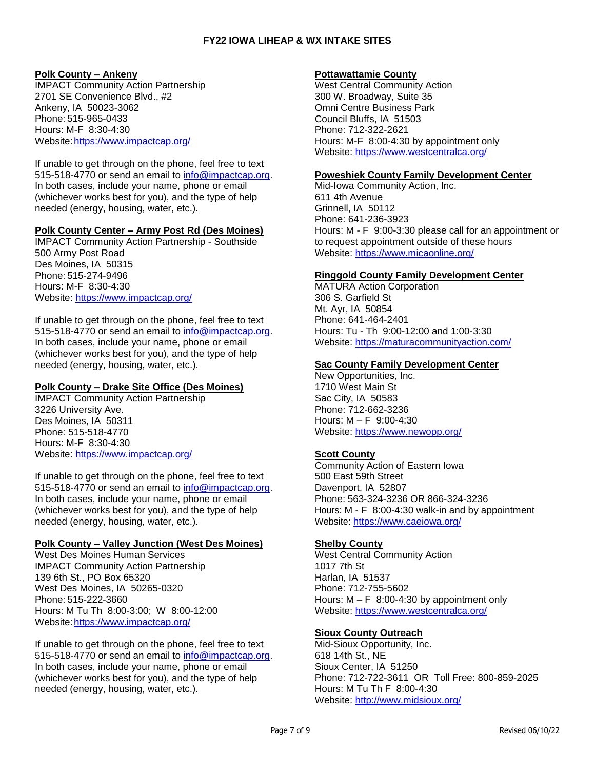### **Polk County – Ankeny**

IMPACT Community Action Partnership 2701 SE Convenience Blvd., #2 Ankeny, IA 50023-3062 Phone: 515-965-0433 Hours: M-F 8:30-4:30 Website[:https://www.impactcap.org/](https://www.impactcap.org/)

If unable to get through on the phone, feel free to text 515-518-4770 or send an email to [info@impactcap.org.](mailto:info@impactcap.org) In both cases, include your name, phone or email (whichever works best for you), and the type of help needed (energy, housing, water, etc.).

#### **Polk County Center – Army Post Rd (Des Moines)**

IMPACT Community Action Partnership - Southside 500 Army Post Road Des Moines, IA 50315 Phone: 515-274-9496 Hours: M-F 8:30-4:30 Website:<https://www.impactcap.org/>

If unable to get through on the phone, feel free to text 515-518-4770 or send an email to [info@impactcap.org.](mailto:info@impactcap.org) In both cases, include your name, phone or email (whichever works best for you), and the type of help needed (energy, housing, water, etc.).

### **Polk County – Drake Site Office (Des Moines)**

IMPACT Community Action Partnership 3226 University Ave. Des Moines, IA 50311 Phone: 515-518-4770 Hours: M-F 8:30-4:30 Website:<https://www.impactcap.org/>

If unable to get through on the phone, feel free to text 515-518-4770 or send an email to [info@impactcap.org.](mailto:info@impactcap.org) In both cases, include your name, phone or email (whichever works best for you), and the type of help needed (energy, housing, water, etc.).

### **Polk County – Valley Junction (West Des Moines)**

West Des Moines Human Services IMPACT Community Action Partnership 139 6th St., PO Box 65320 West Des Moines, IA 50265-0320 Phone: 515-222-3660 Hours: M Tu Th 8:00-3:00; W 8:00-12:00 Website[:https://www.impactcap.org/](https://www.impactcap.org/)

If unable to get through on the phone, feel free to text 515-518-4770 or send an email to [info@impactcap.org.](mailto:info@impactcap.org) In both cases, include your name, phone or email (whichever works best for you), and the type of help needed (energy, housing, water, etc.).

#### **Pottawattamie County**

West Central Community Action 300 W. Broadway, Suite 35 Omni Centre Business Park Council Bluffs, IA 51503 Phone: 712-322-2621 Hours: M-F 8:00-4:30 by appointment only Website:<https://www.westcentralca.org/>

#### **Poweshiek County Family Development Center**

Mid-Iowa Community Action, Inc. 611 4th Avenue Grinnell, IA 50112 Phone: 641-236-3923 Hours: M - F 9:00-3:30 please call for an appointment or to request appointment outside of these hours Website:<https://www.micaonline.org/>

### **Ringgold County Family Development Center**

MATURA Action Corporation 306 S. Garfield St Mt. Ayr, IA 50854 Phone: 641-464-2401 Hours: Tu - Th 9:00-12:00 and 1:00-3:30 Website:<https://maturacommunityaction.com/>

#### **Sac County Family Development Center**

New Opportunities, Inc. 1710 West Main St Sac City, IA 50583 Phone: 712-662-3236 Hours: M – F 9:00-4:30 Website:<https://www.newopp.org/>

### **Scott County**

Community Action of Eastern Iowa 500 East 59th Street Davenport, IA 52807 Phone: 563-324-3236 OR 866-324-3236 Hours: M - F 8:00-4:30 walk-in and by appointment Website[: https://www.caeiowa.org/](https://www.caeiowa.org/)

### **Shelby County**

West Central Community Action 1017 7th St Harlan, IA 51537 Phone: 712-755-5602 Hours:  $M - F$  8:00-4:30 by appointment only Website:<https://www.westcentralca.org/>

### **Sioux County Outreach**

Mid-Sioux Opportunity, Inc. 618 14th St., NE Sioux Center, IA 51250 Phone: 712-722-3611 OR Toll Free: 800-859-2025 Hours: M Tu Th F 8:00-4:30 Website:<http://www.midsioux.org/>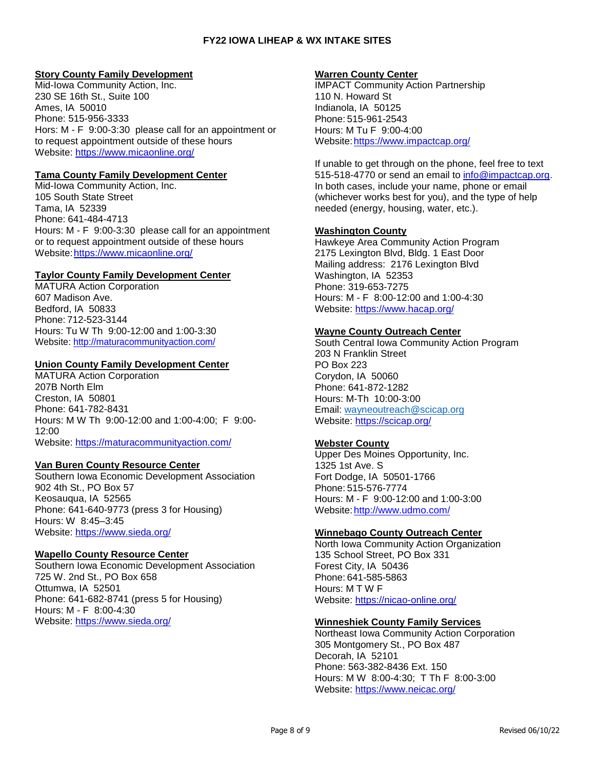### **Story County Family Development**

Mid-Iowa Community Action, Inc. 230 SE 16th St., Suite 100 Ames, IA 50010 Phone: 515-956-3333 Hors: M - F 9:00-3:30 please call for an appointment or to request appointment outside of these hours Website:<https://www.micaonline.org/>

# **Tama County Family Development Center**

Mid-Iowa Community Action, Inc. 105 South State Street Tama, IA 52339 Phone: 641-484-4713 Hours: M - F 9:00-3:30 please call for an appointment or to request appointment outside of these hours Website[:https://www.micaonline.org/](https://www.micaonline.org/)

# **Taylor County Family Development Center**

MATURA Action Corporation 607 Madison Ave. Bedford, IA 50833 Phone: 712-523-3144 Hours: Tu W Th 9:00-12:00 and 1:00-3:30 Website:<http://maturacommunityaction.com/>

# **Union County Family Development Center**

MATURA Action Corporation 207B North Elm Creston, IA 50801 Phone: 641-782-8431 Hours: M W Th 9:00-12:00 and 1:00-4:00; F 9:00- 12:00 Website:<https://maturacommunityaction.com/>

### **Van Buren County Resource Center**

Southern Iowa Economic Development Association 902 4th St., PO Box 57 Keosauqua, IA 52565 Phone: 641-640-9773 (press 3 for Housing) Hours: W 8:45–3:45 Website:<https://www.sieda.org/>

### **Wapello County Resource Center**

Southern Iowa Economic Development Association 725 W. 2nd St., PO Box 658 Ottumwa, IA 52501 Phone: 641-682-8741 (press 5 for Housing) Hours: M - F 8:00-4:30 Website: <https://www.sieda.org/>

#### **Warren County Center**

IMPACT Community Action Partnership 110 N. Howard St Indianola, IA 50125 Phone: 515-961-2543 Hours: M Tu F 9:00-4:00 Website: https://www.impactcap.org/

If unable to get through on the phone, feel free to text 515-518-4770 or send an email to [info@impactcap.org.](mailto:info@impactcap.org) In both cases, include your name, phone or email (whichever works best for you), and the type of help needed (energy, housing, water, etc.).

# **Washington County**

Hawkeye Area Community Action Program 2175 Lexington Blvd, Bldg. 1 East Door Mailing address: 2176 Lexington Blvd Washington, IA 52353 Phone: 319-653-7275 Hours: M - F 8:00-12:00 and 1:00-4:30 Website:<https://www.hacap.org/>

### **Wayne County Outreach Center**

South Central Iowa Community Action Program 203 N Franklin Street PO Box 223 Corydon, IA 50060 Phone: 641-872-1282 Hours: M-Th 10:00-3:00 Email: [wayneoutreach@scicap.org](mailto:wayneoutreach@scicap.org) Website:<https://scicap.org/>

### **Webster County**

Upper Des Moines Opportunity, Inc. 1325 1st Ave. S Fort Dodge, IA 50501-1766 Phone: 515-576-7774 Hours: M - F 9:00-12:00 and 1:00-3:00 Website[:http://www.udmo.com/](http://www.udmo.com/)

# **Winnebago County Outreach Center**

North Iowa Community Action Organization 135 School Street, PO Box 331 Forest City, IA 50436 Phone: 641-585-5863 Hours: M T W F Website:<https://nicao-online.org/>

### **Winneshiek County Family Services**

Northeast Iowa Community Action Corporation 305 Montgomery St., PO Box 487 Decorah, IA 52101 Phone: 563-382-8436 Ext. 150 Hours: M W 8:00-4:30; T Th F 8:00-3:00 Website:<https://www.neicac.org/>